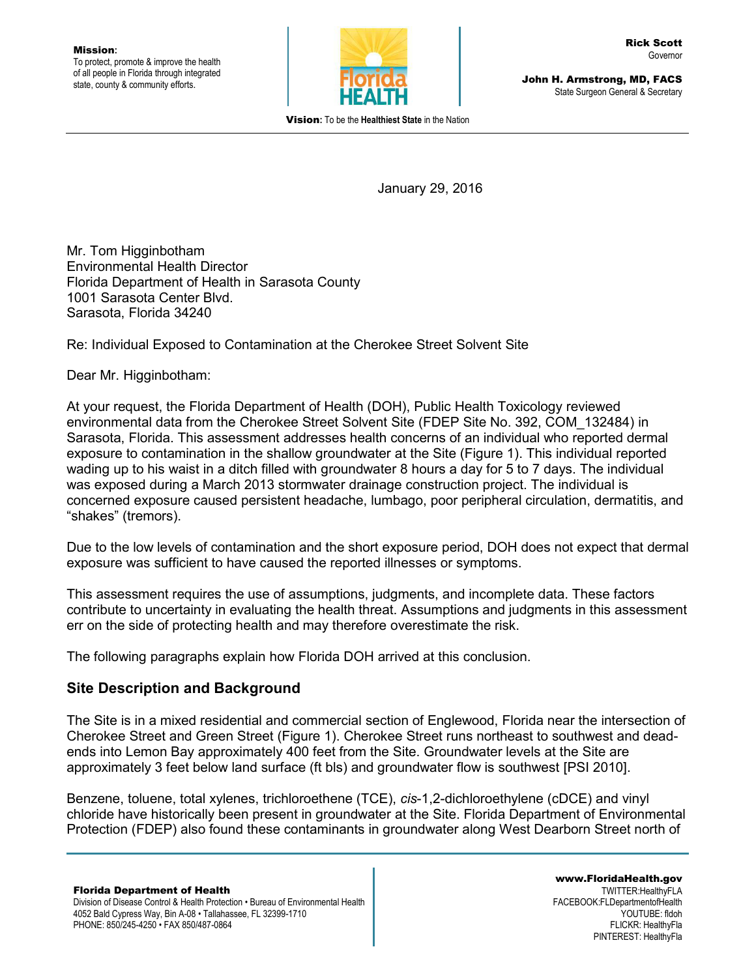

John H. Armstrong, MD, FACS State Surgeon General & Secretary

Vision**:** To be the **Healthiest State** in the Nation

January 29, 2016

Mr. Tom Higginbotham Environmental Health Director Florida Department of Health in Sarasota County 1001 Sarasota Center Blvd. Sarasota, Florida 34240

Re: Individual Exposed to Contamination at the Cherokee Street Solvent Site

Dear Mr. Higginbotham:

At your request, the Florida Department of Health (DOH), Public Health Toxicology reviewed environmental data from the Cherokee Street Solvent Site (FDEP Site No. 392, COM\_132484) in Sarasota, Florida. This assessment addresses health concerns of an individual who reported dermal exposure to contamination in the shallow groundwater at the Site (Figure 1). This individual reported wading up to his waist in a ditch filled with groundwater 8 hours a day for 5 to 7 days. The individual was exposed during a March 2013 stormwater drainage construction project. The individual is concerned exposure caused persistent headache, lumbago, poor peripheral circulation, dermatitis, and "shakes" (tremors).

Due to the low levels of contamination and the short exposure period, DOH does not expect that dermal exposure was sufficient to have caused the reported illnesses or symptoms.

This assessment requires the use of assumptions, judgments, and incomplete data. These factors contribute to uncertainty in evaluating the health threat. Assumptions and judgments in this assessment err on the side of protecting health and may therefore overestimate the risk.

The following paragraphs explain how Florida DOH arrived at this conclusion.

## **Site Description and Background**

The Site is in a mixed residential and commercial section of Englewood, Florida near the intersection of Cherokee Street and Green Street (Figure 1). Cherokee Street runs northeast to southwest and deadends into Lemon Bay approximately 400 feet from the Site. Groundwater levels at the Site are approximately 3 feet below land surface (ft bls) and groundwater flow is southwest [PSI 2010].

Benzene, toluene, total xylenes, trichloroethene (TCE), *cis*-1,2-dichloroethylene (cDCE) and vinyl chloride have historically been present in groundwater at the Site. Florida Department of Environmental Protection (FDEP) also found these contaminants in groundwater along West Dearborn Street north of

Division of Disease Control & Health Protection • Bureau of Environmental Health 4052 Bald Cypress Way, Bin A-08 • Tallahassee, FL 32399-1710 PHONE: 850/245-4250 • FAX 850/487-0864

www.FloridaHealth.gov TWITTER:HealthyFLA FACEBOOK:FLDepartmentofHealth YOUTUBE: fldoh FLICKR: HealthyFla PINTEREST: HealthyFla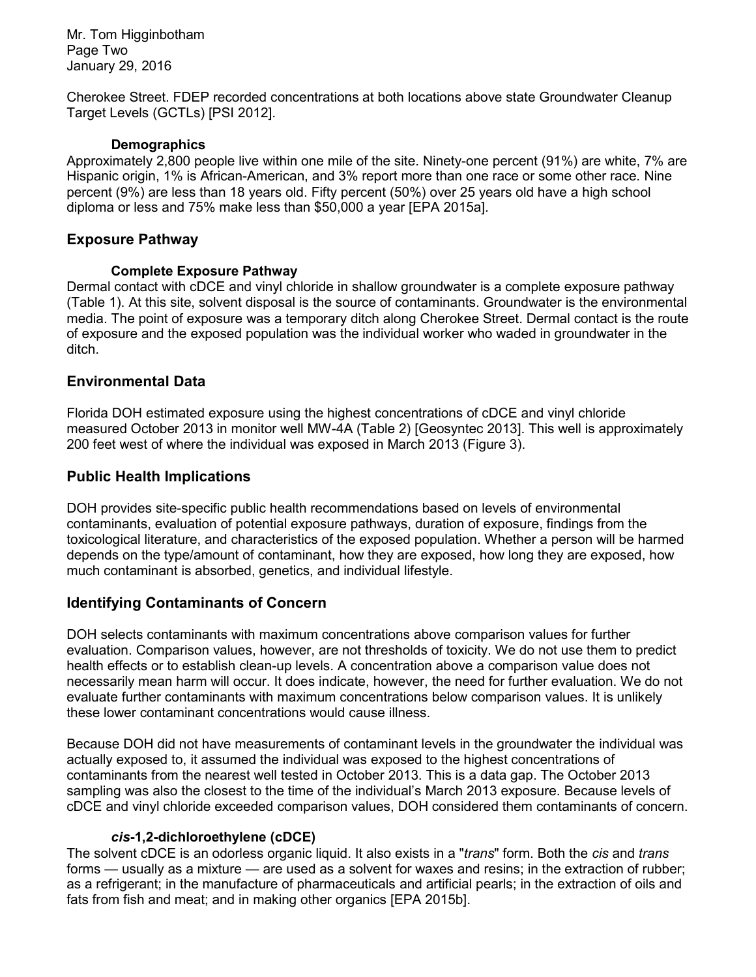Mr. Tom Higginbotham Page Two January 29, 2016

Cherokee Street. FDEP recorded concentrations at both locations above state Groundwater Cleanup Target Levels (GCTLs) [PSI 2012].

#### **Demographics**

Approximately 2,800 people live within one mile of the site. Ninety-one percent (91%) are white, 7% are Hispanic origin, 1% is African-American, and 3% report more than one race or some other race. Nine percent (9%) are less than 18 years old. Fifty percent (50%) over 25 years old have a high school diploma or less and 75% make less than \$50,000 a year [EPA 2015a].

## **Exposure Pathway**

## **Complete Exposure Pathway**

Dermal contact with cDCE and vinyl chloride in shallow groundwater is a complete exposure pathway (Table 1). At this site, solvent disposal is the source of contaminants. Groundwater is the environmental media. The point of exposure was a temporary ditch along Cherokee Street. Dermal contact is the route of exposure and the exposed population was the individual worker who waded in groundwater in the ditch.

## **Environmental Data**

Florida DOH estimated exposure using the highest concentrations of cDCE and vinyl chloride measured October 2013 in monitor well MW-4A (Table 2) [Geosyntec 2013]. This well is approximately 200 feet west of where the individual was exposed in March 2013 (Figure 3).

## **Public Health Implications**

DOH provides site-specific public health recommendations based on levels of environmental contaminants, evaluation of potential exposure pathways, duration of exposure, findings from the toxicological literature, and characteristics of the exposed population. Whether a person will be harmed depends on the type/amount of contaminant, how they are exposed, how long they are exposed, how much contaminant is absorbed, genetics, and individual lifestyle.

## **Identifying Contaminants of Concern**

DOH selects contaminants with maximum concentrations above comparison values for further evaluation. Comparison values, however, are not thresholds of toxicity. We do not use them to predict health effects or to establish clean-up levels. A concentration above a comparison value does not necessarily mean harm will occur. It does indicate, however, the need for further evaluation. We do not evaluate further contaminants with maximum concentrations below comparison values. It is unlikely these lower contaminant concentrations would cause illness.

Because DOH did not have measurements of contaminant levels in the groundwater the individual was actually exposed to, it assumed the individual was exposed to the highest concentrations of contaminants from the nearest well tested in October 2013. This is a data gap. The October 2013 sampling was also the closest to the time of the individual's March 2013 exposure. Because levels of cDCE and vinyl chloride exceeded comparison values, DOH considered them contaminants of concern.

## *cis***-1,2-dichloroethylene (cDCE)**

The solvent cDCE is an odorless organic liquid. It also exists in a "*trans*" form. Both the *cis* and *trans* forms — usually as a mixture — are used as a solvent for waxes and resins; in the extraction of rubber; as a refrigerant; in the manufacture of pharmaceuticals and artificial pearls; in the extraction of oils and fats from fish and meat; and in making other organics [EPA 2015b].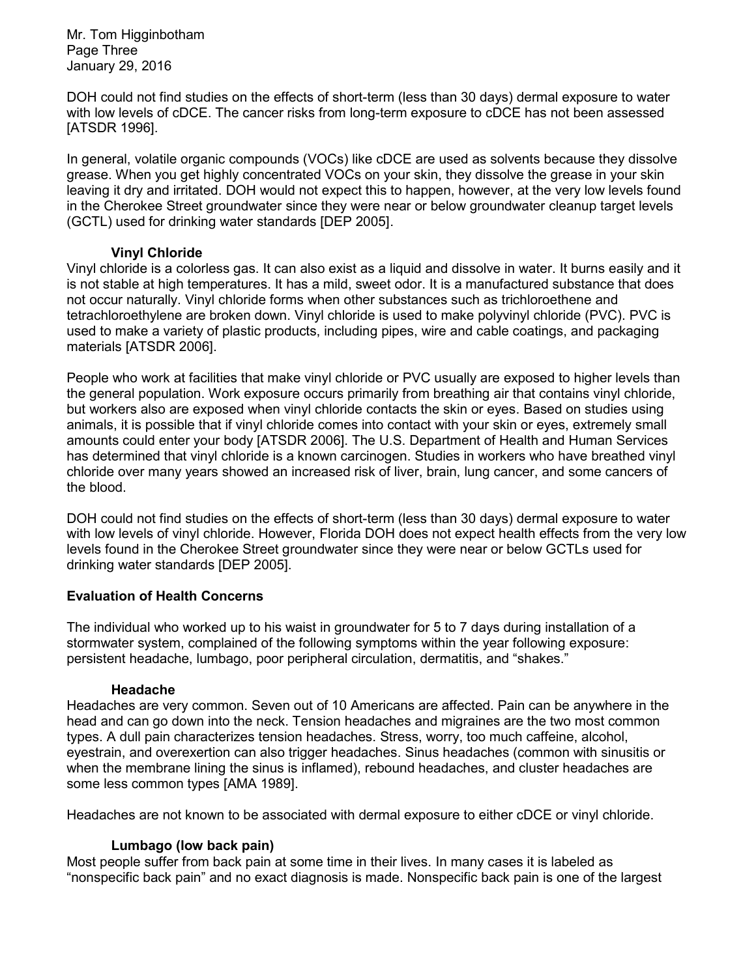Mr. Tom Higginbotham Page Three January 29, 2016

DOH could not find studies on the effects of short-term (less than 30 days) dermal exposure to water with low levels of cDCE. The cancer risks from long-term exposure to cDCE has not been assessed [ATSDR 1996].

In general, volatile organic compounds (VOCs) like cDCE are used as solvents because they dissolve grease. When you get highly concentrated VOCs on your skin, they dissolve the grease in your skin leaving it dry and irritated. DOH would not expect this to happen, however, at the very low levels found in the Cherokee Street groundwater since they were near or below groundwater cleanup target levels (GCTL) used for drinking water standards [DEP 2005].

## **Vinyl Chloride**

Vinyl chloride is a colorless gas. It can also exist as a liquid and dissolve in water. It burns easily and it is not stable at high temperatures. It has a mild, sweet odor. It is a manufactured substance that does not occur naturally. Vinyl chloride forms when other substances such as trichloroethene and tetrachloroethylene are broken down. Vinyl chloride is used to make polyvinyl chloride (PVC). PVC is used to make a variety of plastic products, including pipes, wire and cable coatings, and packaging materials [ATSDR 2006].

People who work at facilities that make vinyl chloride or PVC usually are exposed to higher levels than the general population. Work exposure occurs primarily from breathing air that contains vinyl chloride, but workers also are exposed when vinyl chloride contacts the skin or eyes. Based on studies using animals, it is possible that if vinyl chloride comes into contact with your skin or eyes, extremely small amounts could enter your body [ATSDR 2006]. The U.S. Department of Health and Human Services has determined that vinyl chloride is a known carcinogen. Studies in workers who have breathed vinyl chloride over many years showed an increased risk of liver, brain, lung cancer, and some cancers of the blood.

DOH could not find studies on the effects of short-term (less than 30 days) dermal exposure to water with low levels of vinyl chloride. However, Florida DOH does not expect health effects from the very low levels found in the Cherokee Street groundwater since they were near or below GCTLs used for drinking water standards [DEP 2005].

## **Evaluation of Health Concerns**

The individual who worked up to his waist in groundwater for 5 to 7 days during installation of a stormwater system, complained of the following symptoms within the year following exposure: persistent headache, lumbago, poor peripheral circulation, dermatitis, and "shakes."

#### **Headache**

Headaches are very common. Seven out of 10 Americans are affected. Pain can be anywhere in the head and can go down into the neck. Tension headaches and migraines are the two most common types. A dull pain characterizes tension headaches. Stress, worry, too much caffeine, alcohol, eyestrain, and overexertion can also trigger headaches. Sinus headaches (common with sinusitis or when the membrane lining the sinus is inflamed), rebound headaches, and cluster headaches are some less common types [AMA 1989].

Headaches are not known to be associated with dermal exposure to either cDCE or vinyl chloride.

## **Lumbago (low back pain)**

Most people suffer from back pain at some time in their lives. In many cases it is labeled as "nonspecific back pain" and no exact diagnosis is made. Nonspecific back pain is one of the largest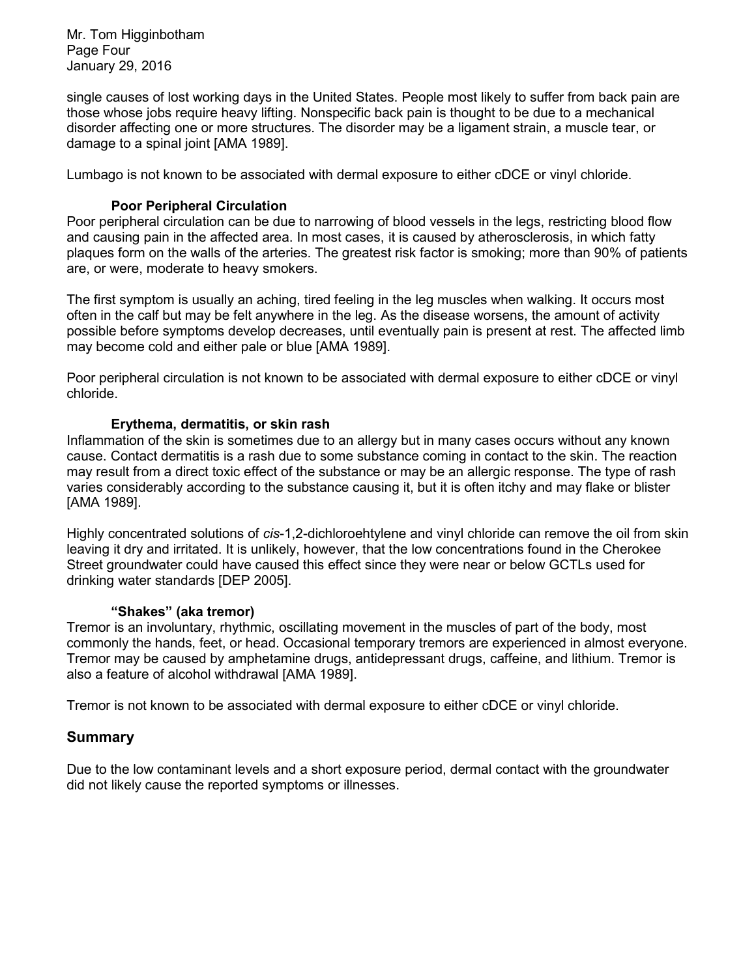Mr. Tom Higginbotham Page Four January 29, 2016

single causes of lost working days in the United States. People most likely to suffer from back pain are those whose jobs require heavy lifting. Nonspecific back pain is thought to be due to a mechanical disorder affecting one or more structures. The disorder may be a ligament strain, a muscle tear, or damage to a spinal joint [AMA 1989].

Lumbago is not known to be associated with dermal exposure to either cDCE or vinyl chloride.

## **Poor Peripheral Circulation**

Poor peripheral circulation can be due to narrowing of blood vessels in the legs, restricting blood flow and causing pain in the affected area. In most cases, it is caused by atherosclerosis, in which fatty plaques form on the walls of the arteries. The greatest risk factor is smoking; more than 90% of patients are, or were, moderate to heavy smokers.

The first symptom is usually an aching, tired feeling in the leg muscles when walking. It occurs most often in the calf but may be felt anywhere in the leg. As the disease worsens, the amount of activity possible before symptoms develop decreases, until eventually pain is present at rest. The affected limb may become cold and either pale or blue [AMA 1989].

Poor peripheral circulation is not known to be associated with dermal exposure to either cDCE or vinyl chloride.

#### **Erythema, dermatitis, or skin rash**

Inflammation of the skin is sometimes due to an allergy but in many cases occurs without any known cause. Contact dermatitis is a rash due to some substance coming in contact to the skin. The reaction may result from a direct toxic effect of the substance or may be an allergic response. The type of rash varies considerably according to the substance causing it, but it is often itchy and may flake or blister [AMA 1989].

Highly concentrated solutions of *cis*-1,2-dichloroehtylene and vinyl chloride can remove the oil from skin leaving it dry and irritated. It is unlikely, however, that the low concentrations found in the Cherokee Street groundwater could have caused this effect since they were near or below GCTLs used for drinking water standards [DEP 2005].

#### **"Shakes" (aka tremor)**

Tremor is an involuntary, rhythmic, oscillating movement in the muscles of part of the body, most commonly the hands, feet, or head. Occasional temporary tremors are experienced in almost everyone. Tremor may be caused by amphetamine drugs, antidepressant drugs, caffeine, and lithium. Tremor is also a feature of alcohol withdrawal [AMA 1989].

Tremor is not known to be associated with dermal exposure to either cDCE or vinyl chloride.

## **Summary**

Due to the low contaminant levels and a short exposure period, dermal contact with the groundwater did not likely cause the reported symptoms or illnesses.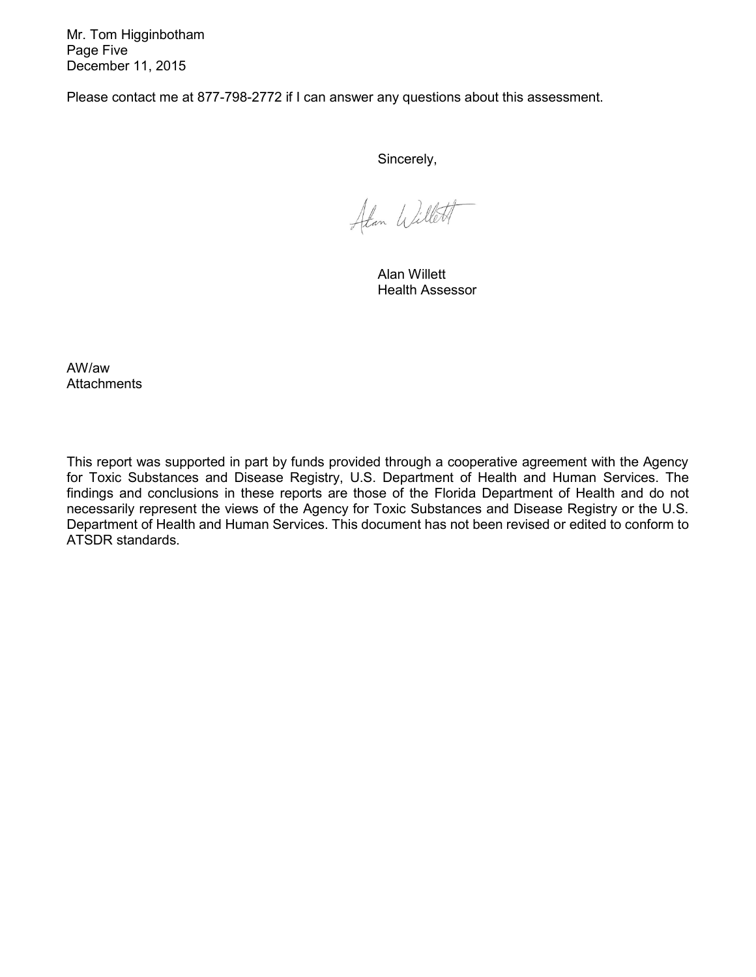Mr. Tom Higginbotham Page Five December 11, 2015

Please contact me at 877-798-2772 if I can answer any questions about this assessment.

Sincerely,

Atan Willett

Alan Willett Health Assessor

AW/aw **Attachments** 

This report was supported in part by funds provided through a cooperative agreement with the Agency for Toxic Substances and Disease Registry, U.S. Department of Health and Human Services. The findings and conclusions in these reports are those of the Florida Department of Health and do not necessarily represent the views of the Agency for Toxic Substances and Disease Registry or the U.S. Department of Health and Human Services. This document has not been revised or edited to conform to ATSDR standards.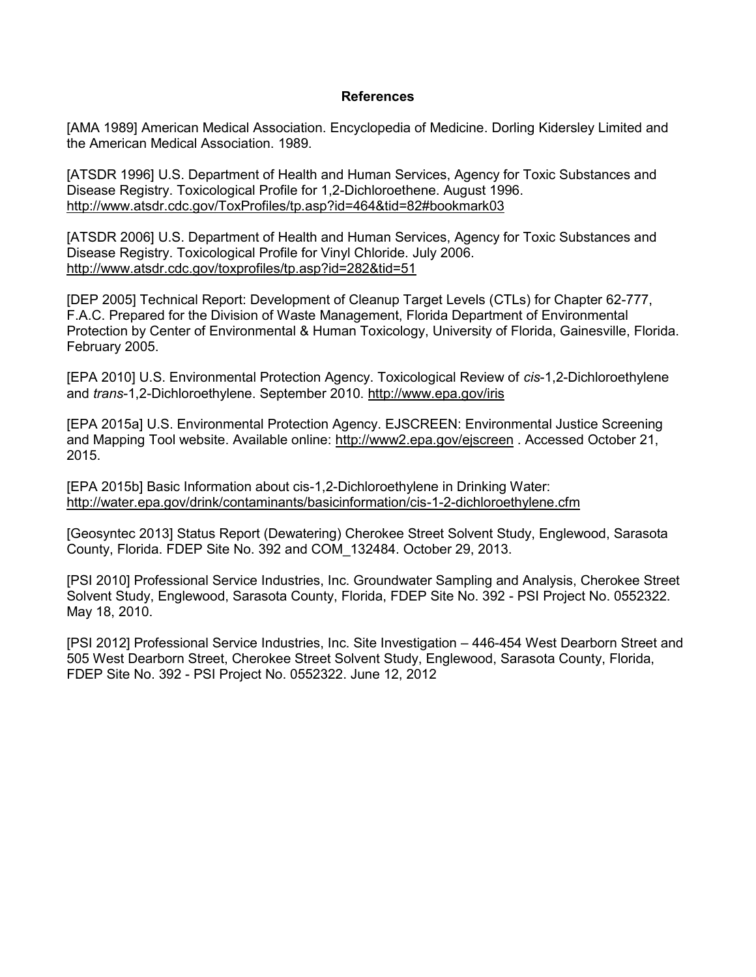#### **References**

[AMA 1989] American Medical Association. Encyclopedia of Medicine. Dorling Kidersley Limited and the American Medical Association. 1989.

[ATSDR 1996] U.S. Department of Health and Human Services, Agency for Toxic Substances and Disease Registry. Toxicological Profile for 1,2-Dichloroethene. August 1996. <http://www.atsdr.cdc.gov/ToxProfiles/tp.asp?id=464&tid=82#bookmark03>

[ATSDR 2006] U.S. Department of Health and Human Services, Agency for Toxic Substances and Disease Registry. Toxicological Profile for Vinyl Chloride. July 2006. <http://www.atsdr.cdc.gov/toxprofiles/tp.asp?id=282&tid=51>

[DEP 2005] Technical Report: Development of Cleanup Target Levels (CTLs) for Chapter 62-777, F.A.C. Prepared for the Division of Waste Management, Florida Department of Environmental Protection by Center of Environmental & Human Toxicology, University of Florida, Gainesville, Florida. February 2005.

[EPA 2010] U.S. Environmental Protection Agency. Toxicological Review of *cis*-1,2-Dichloroethylene and *trans*-1,2-Dichloroethylene. September 2010.<http://www.epa.gov/iris>

[EPA 2015a] U.S. Environmental Protection Agency. EJSCREEN: Environmental Justice Screening and Mapping Tool website. Available online:<http://www2.epa.gov/ejscreen> . Accessed October 21, 2015.

[EPA 2015b] Basic Information about cis-1,2-Dichloroethylene in Drinking Water: <http://water.epa.gov/drink/contaminants/basicinformation/cis-1-2-dichloroethylene.cfm>

[Geosyntec 2013] Status Report (Dewatering) Cherokee Street Solvent Study, Englewood, Sarasota County, Florida. FDEP Site No. 392 and COM\_132484. October 29, 2013.

[PSI 2010] Professional Service Industries, Inc. Groundwater Sampling and Analysis, Cherokee Street Solvent Study, Englewood, Sarasota County, Florida, FDEP Site No. 392 - PSI Project No. 0552322. May 18, 2010.

[PSI 2012] Professional Service Industries, Inc. Site Investigation – 446-454 West Dearborn Street and 505 West Dearborn Street, Cherokee Street Solvent Study, Englewood, Sarasota County, Florida, FDEP Site No. 392 - PSI Project No. 0552322. June 12, 2012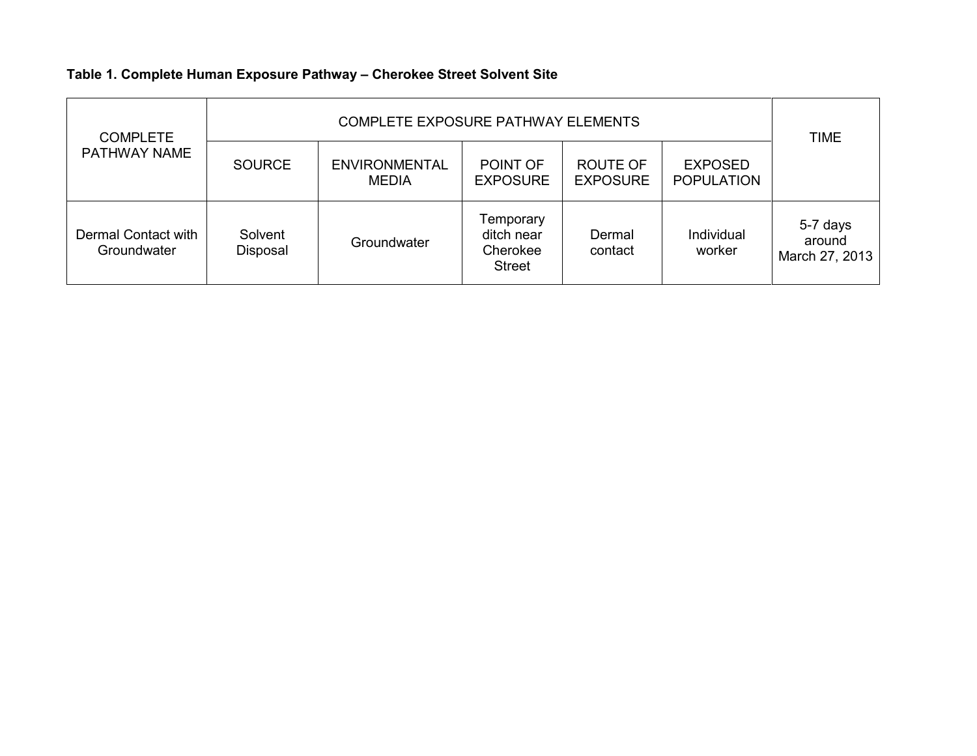# **Table 1. Complete Human Exposure Pathway – Cherokee Street Solvent Site**

| <b>COMPLETE</b><br>PATHWAY NAME    |                     | <b>TIME</b>                          |                                                      |                                    |                                     |                                      |
|------------------------------------|---------------------|--------------------------------------|------------------------------------------------------|------------------------------------|-------------------------------------|--------------------------------------|
|                                    | <b>SOURCE</b>       | <b>ENVIRONMENTAL</b><br><b>MEDIA</b> | POINT OF<br><b>EXPOSURE</b>                          | <b>ROUTE OF</b><br><b>EXPOSURE</b> | <b>EXPOSED</b><br><b>POPULATION</b> |                                      |
| Dermal Contact with<br>Groundwater | Solvent<br>Disposal | Groundwater                          | Temporary<br>ditch near<br>Cherokee<br><b>Street</b> | Dermal<br>contact                  | Individual<br>worker                | 5-7 days<br>around<br>March 27, 2013 |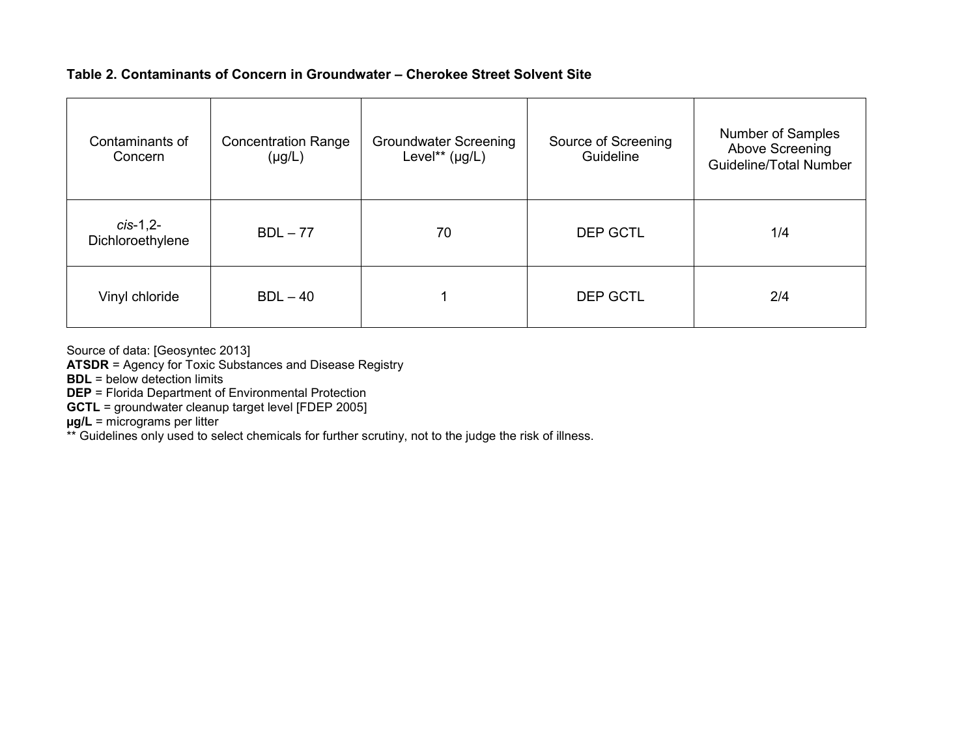## **Table 2. Contaminants of Concern in Groundwater – Cherokee Street Solvent Site**

| Contaminants of<br>Concern     | <b>Concentration Range</b><br>$(\mu g/L)$ | <b>Groundwater Screening</b><br>Level** $(\mu g/L)$ | Source of Screening<br>Guideline | Number of Samples<br>Above Screening<br><b>Guideline/Total Number</b> |
|--------------------------------|-------------------------------------------|-----------------------------------------------------|----------------------------------|-----------------------------------------------------------------------|
| $cis-1,2-$<br>Dichloroethylene | $BDL - 77$                                | 70                                                  | <b>DEP GCTL</b>                  | 1/4                                                                   |
| Vinyl chloride                 | $BDL - 40$                                |                                                     | <b>DEP GCTL</b>                  | 2/4                                                                   |

Source of data: [Geosyntec 2013]

**ATSDR** = Agency for Toxic Substances and Disease Registry

**BDL** = below detection limits

**DEP** = Florida Department of Environmental Protection

**GCTL** = groundwater cleanup target level [FDEP 2005]

**µg/L** = micrograms per litter

\*\* Guidelines only used to select chemicals for further scrutiny, not to the judge the risk of illness.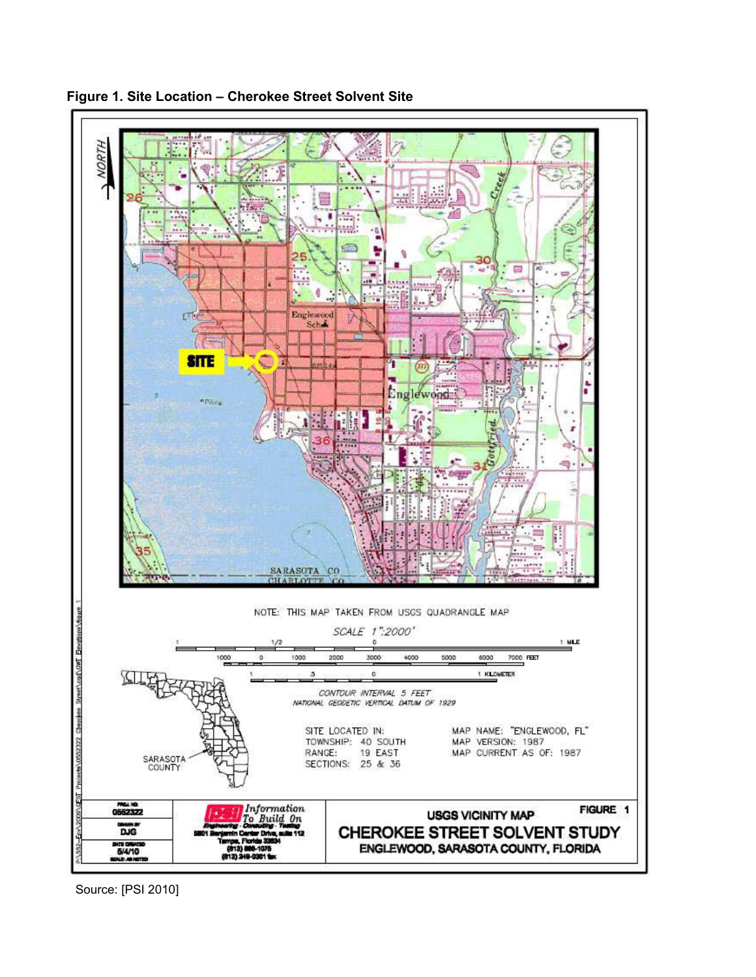



Source: [PSI 2010]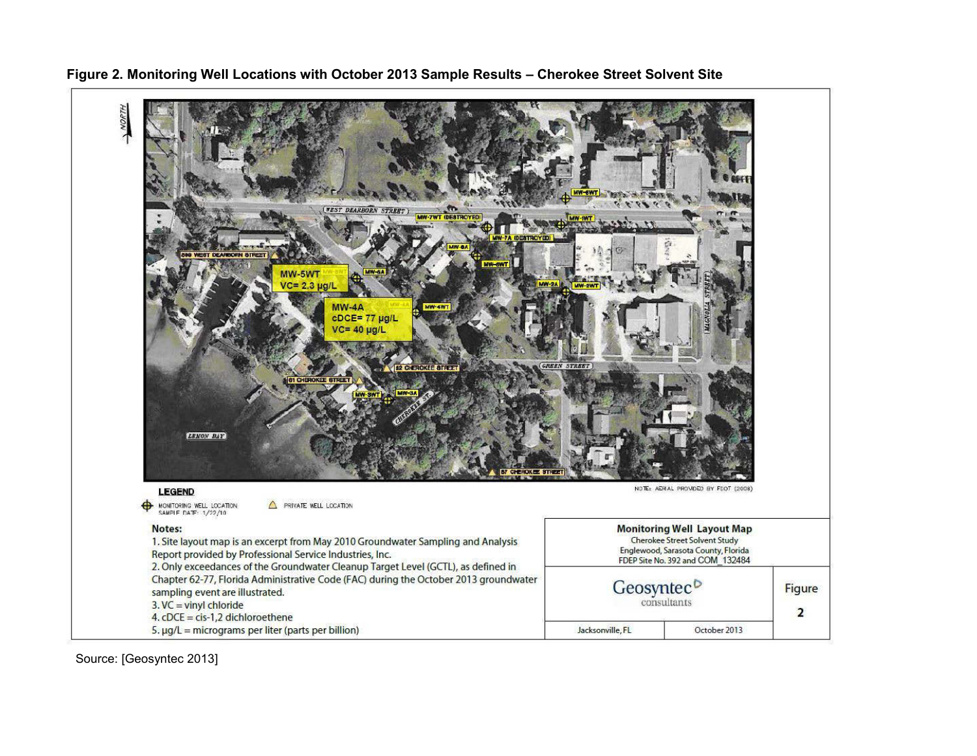

**Figure 2. Monitoring Well Locations with October 2013 Sample Results – Cherokee Street Solvent Site** 

Source: [Geosyntec 2013]